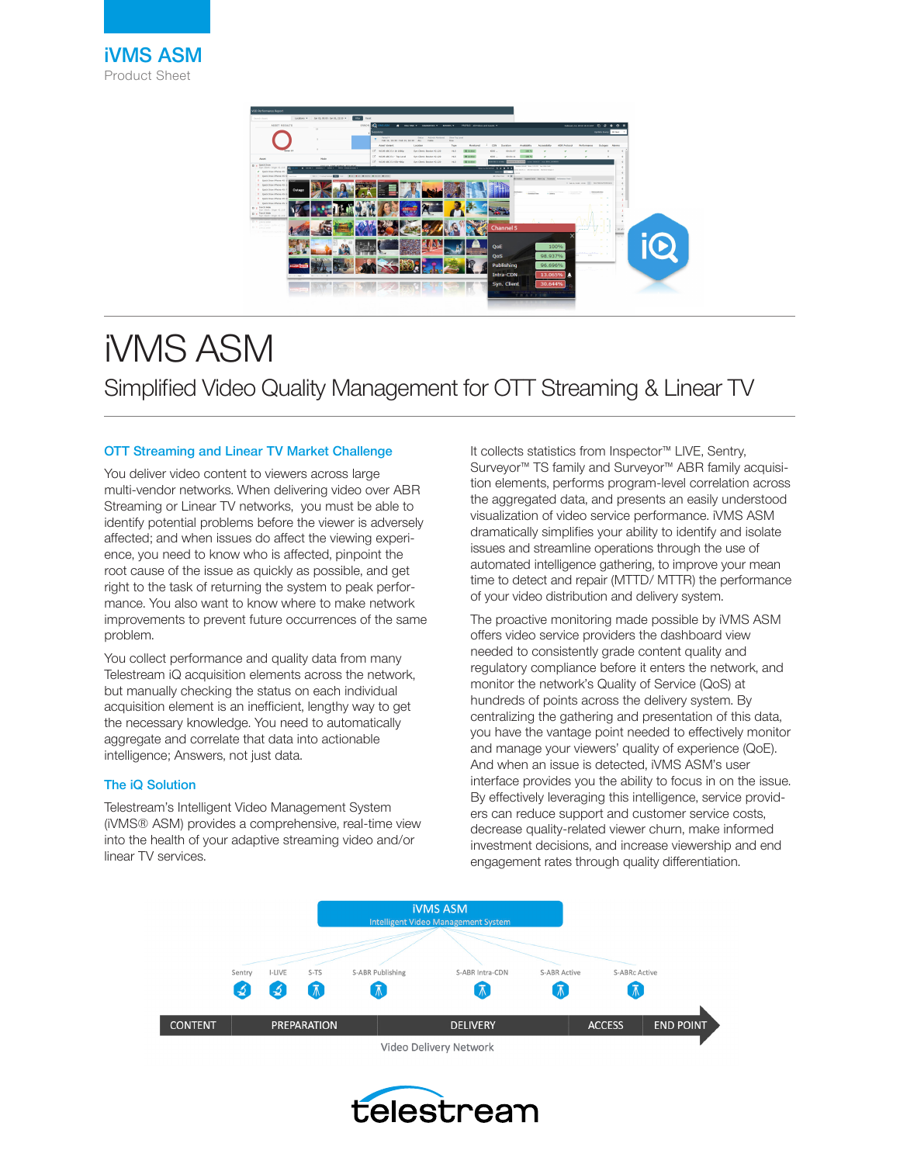

# iVMS ASM Simplified Video Quality Management for OTT Streaming & Linear TV

## OTT Streaming and Linear TV Market Challenge

You deliver video content to viewers across large multi-vendor networks. When delivering video over ABR Streaming or Linear TV networks, you must be able to identify potential problems before the viewer is adversely affected; and when issues do affect the viewing experience, you need to know who is affected, pinpoint the root cause of the issue as quickly as possible, and get right to the task of returning the system to peak performance. You also want to know where to make network improvements to prevent future occurrences of the same problem.

You collect performance and quality data from many Telestream iQ acquisition elements across the network, but manually checking the status on each individual acquisition element is an inefficient, lengthy way to get the necessary knowledge. You need to automatically aggregate and correlate that data into actionable intelligence; Answers, not just data.

# The iQ Solution

Telestream's Intelligent Video Management System (iVMS® ASM) provides a comprehensive, real-time view into the health of your adaptive streaming video and/or linear TV services.

It collects statistics from Inspector™ LIVE, Sentry, Surveyor™ TS family and Surveyor™ ABR family acquisition elements, performs program-level correlation across the aggregated data, and presents an easily understood visualization of video service performance. iVMS ASM dramatically simplifies your ability to identify and isolate issues and streamline operations through the use of automated intelligence gathering, to improve your mean time to detect and repair (MTTD/ MTTR) the performance of your video distribution and delivery system.

The proactive monitoring made possible by iVMS ASM offers video service providers the dashboard view needed to consistently grade content quality and regulatory compliance before it enters the network, and monitor the network's Quality of Service (QoS) at hundreds of points across the delivery system. By centralizing the gathering and presentation of this data, you have the vantage point needed to effectively monitor and manage your viewers' quality of experience (QoE). And when an issue is detected, iVMS ASM's user interface provides you the ability to focus in on the issue. By effectively leveraging this intelligence, service providers can reduce support and customer service costs, decrease quality-related viewer churn, make informed investment decisions, and increase viewership and end engagement rates through quality differentiation.